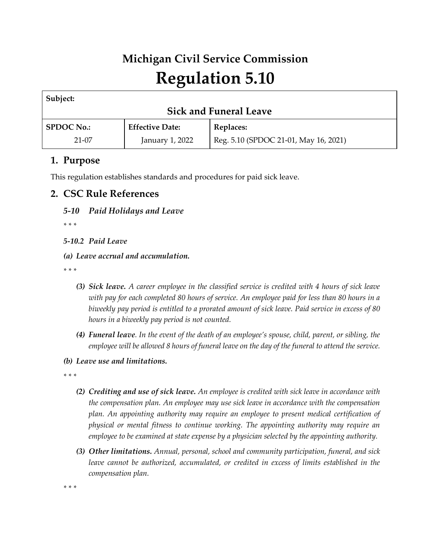# **Michigan Civil Service Commission Regulation 5.10**

| Subject:                      |                        |                                       |  |
|-------------------------------|------------------------|---------------------------------------|--|
| <b>Sick and Funeral Leave</b> |                        |                                       |  |
| <b>SPDOC No.:</b>             | <b>Effective Date:</b> | Replaces:                             |  |
| $21-07$                       | January 1, 2022        | Reg. 5.10 (SPDOC 21-01, May 16, 2021) |  |

# **1. Purpose**

This regulation establishes standards and procedures for paid sick leave.

# **2. CSC Rule References**

# *5-10 Paid Holidays and Leave*

*\* \* \** 

# *5-10.2 Paid Leave*

*(a) Leave accrual and accumulation.*

*\* \* \** 

- *(3) Sick leave. A career employee in the classified service is credited with 4 hours of sick leave with pay for each completed 80 hours of service. An employee paid for less than 80 hours in a biweekly pay period is entitled to a prorated amount of sick leave. Paid service in excess of 80 hours in a biweekly pay period is not counted.*
- *(4) Funeral leave. In the event of the death of an employee's spouse, child, parent, or sibling, the employee will be allowed 8 hours of funeral leave on the day of the funeral to attend the service.*
- *(b) Leave use and limitations.*

*\* \* \** 

- *(2) Crediting and use of sick leave. An employee is credited with sick leave in accordance with the compensation plan. An employee may use sick leave in accordance with the compensation plan. An appointing authority may require an employee to present medical certification of physical or mental fitness to continue working. The appointing authority may require an employee to be examined at state expense by a physician selected by the appointing authority.*
- *(3) Other limitations. Annual, personal, school and community participation, funeral, and sick leave cannot be authorized, accumulated, or credited in excess of limits established in the compensation plan.*

*\* \* \**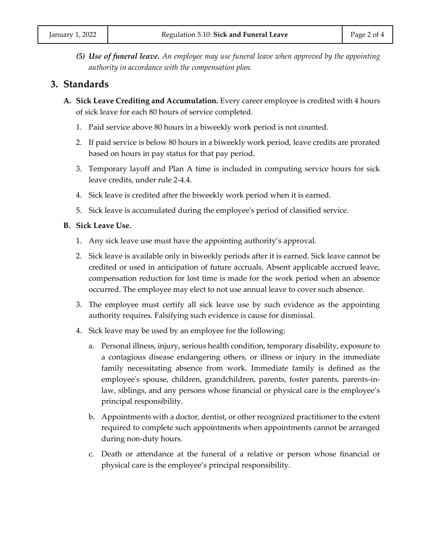*(5) Use of funeral leave. An employee may use funeral leave when approved by the appointing authority in accordance with the compensation plan.*

# **3. Standards**

- **A. Sick Leave Crediting and Accumulation.** Every career employee is credited with 4 hours of sick leave for each 80 hours of service completed.
	- 1. Paid service above 80 hours in a biweekly work period is not counted.
	- 2. If paid service is below 80 hours in a biweekly work period, leave credits are prorated based on hours in pay status for that pay period.
	- 3. Temporary layoff and Plan A time is included in computing service hours for sick leave credits, under rule 2-4.4.
	- 4. Sick leave is credited after the biweekly work period when it is earned.
	- 5. Sick leave is accumulated during the employee's period of classified service.

## **B. Sick Leave Use.**

- 1. Any sick leave use must have the appointing authority's approval.
- 2. Sick leave is available only in biweekly periods after it is earned. Sick leave cannot be credited or used in anticipation of future accruals. Absent applicable accrued leave, compensation reduction for lost time is made for the work period when an absence occurred. The employee may elect to not use annual leave to cover such absence.
- 3. The employee must certify all sick leave use by such evidence as the appointing authority requires. Falsifying such evidence is cause for dismissal.
- 4. Sick leave may be used by an employee for the following:
	- a. Personal illness, injury, serious health condition, temporary disability, exposure to a contagious disease endangering others, or illness or injury in the immediate family necessitating absence from work. Immediate family is defined as the employee's spouse, children, grandchildren, parents, foster parents, parents-inlaw, siblings, and any persons whose financial or physical care is the employee's principal responsibility.
	- b. Appointments with a doctor, dentist, or other recognized practitioner to the extent required to complete such appointments when appointments cannot be arranged during non-duty hours.
	- c. Death or attendance at the funeral of a relative or person whose financial or physical care is the employee's principal responsibility.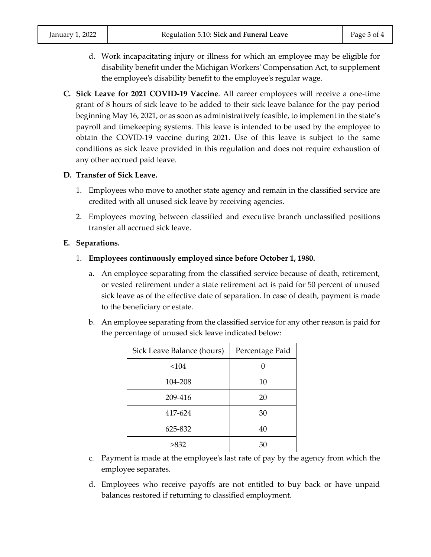- d. Work incapacitating injury or illness for which an employee may be eligible for disability benefit under the Michigan Workers' Compensation Act, to supplement the employee's disability benefit to the employee's regular wage.
- **C. Sick Leave for 2021 COVID-19 Vaccine**. All career employees will receive a one-time grant of 8 hours of sick leave to be added to their sick leave balance for the pay period beginning May 16, 2021, or as soon as administratively feasible, to implement in the state's payroll and timekeeping systems. This leave is intended to be used by the employee to obtain the COVID-19 vaccine during 2021. Use of this leave is subject to the same conditions as sick leave provided in this regulation and does not require exhaustion of any other accrued paid leave.

# **D. Transfer of Sick Leave.**

- 1. Employees who move to another state agency and remain in the classified service are credited with all unused sick leave by receiving agencies.
- 2. Employees moving between classified and executive branch unclassified positions transfer all accrued sick leave.

# **E. Separations.**

- 1. **Employees continuously employed since before October 1, 1980.**
	- a. An employee separating from the classified service because of death, retirement, or vested retirement under a state retirement act is paid for 50 percent of unused sick leave as of the effective date of separation. In case of death, payment is made to the beneficiary or estate.
	- b. An employee separating from the classified service for any other reason is paid for the percentage of unused sick leave indicated below:

| Sick Leave Balance (hours) | Percentage Paid |
|----------------------------|-----------------|
| < 104                      |                 |
| 104-208                    | 10              |
| 209-416                    | 20              |
| 417-624                    | 30              |
| 625-832                    | 40              |
| >832                       | 50              |

- c. Payment is made at the employee's last rate of pay by the agency from which the employee separates.
- d. Employees who receive payoffs are not entitled to buy back or have unpaid balances restored if returning to classified employment.